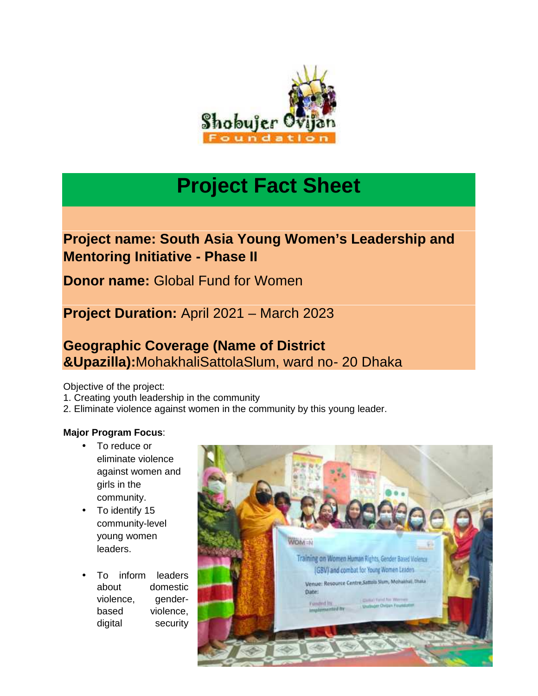

## **Project Fact Sheet**

## **Project name: South Asia Young Women's Leadership and Mentoring Initiative - Phase II**

**Donor name:** Global Fund for Women

**Project Duration:** April 2021 – March 2023

## **Geographic Coverage (Name of District &Upazilla):**MohakhaliSattolaSlum, ward no- 20 Dhaka

Objective of the project:

- 1. Creating youth leadership in the community
- 2. Eliminate violence against women in the community by this young leader.

## **Major Program Focus**:

- To reduce or eliminate violence against women and girls in the community.
- To identify 15 community-level young women leaders.
- To inform leaders about domestic violence, genderbased violence, digital security